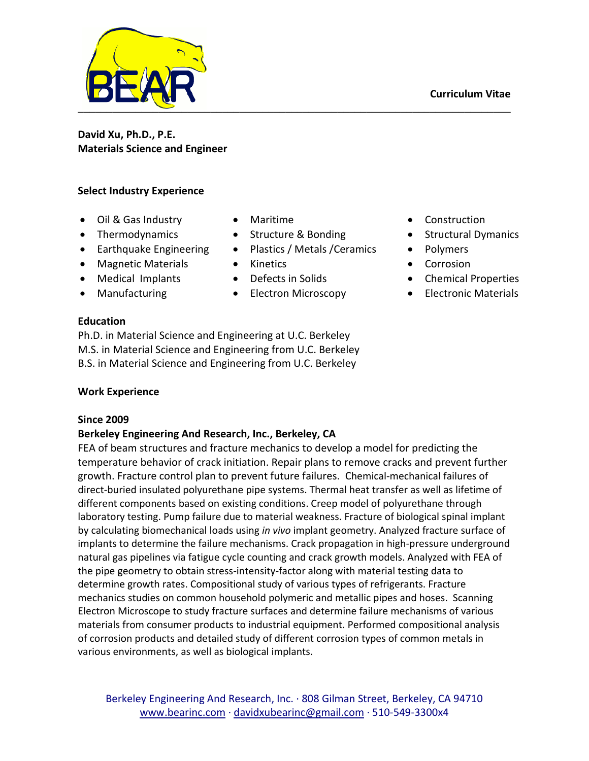

**David Xu, Ph.D., P.E. Materials Science and Engineer**

## **Select Industry Experience**

- Oil & Gas Industry Maritime Construction
- 
- Earthquake Engineering Plastics / Metals / Ceramics Polymers
- Magnetic Materials Kinetics Corrosion
- 
- 
- 
- Thermodynamics Structure & Bonding Structural Dymanics
	-
	-
	-
- Manufacturing Electron Microscopy Electronic Materials

- 
- 
- 
- Medical Implants Defects in Solids Chemical Properties
	-

## **Education**

Ph.D. in Material Science and Engineering at U.C. Berkeley M.S. in Material Science and Engineering from U.C. Berkeley B.S. in Material Science and Engineering from U.C. Berkeley

## **Work Experience**

## **Since 2009**

# **Berkeley Engineering And Research, Inc., Berkeley, CA**

FEA of beam structures and fracture mechanics to develop a model for predicting the temperature behavior of crack initiation. Repair plans to remove cracks and prevent further growth. Fracture control plan to prevent future failures. Chemical-mechanical failures of direct-buried insulated polyurethane pipe systems. Thermal heat transfer as well as lifetime of different components based on existing conditions. Creep model of polyurethane through laboratory testing. Pump failure due to material weakness. Fracture of biological spinal implant by calculating biomechanical loads using *in vivo* implant geometry. Analyzed fracture surface of implants to determine the failure mechanisms. Crack propagation in high-pressure underground natural gas pipelines via fatigue cycle counting and crack growth models. Analyzed with FEA of the pipe geometry to obtain stress-intensity-factor along with material testing data to determine growth rates. Compositional study of various types of refrigerants. Fracture mechanics studies on common household polymeric and metallic pipes and hoses. Scanning Electron Microscope to study fracture surfaces and determine failure mechanisms of various materials from consumer products to industrial equipment. Performed compositional analysis of corrosion products and detailed study of different corrosion types of common metals in various environments, as well as biological implants.

Berkeley Engineering And Research, Inc. · 808 Gilman Street, Berkeley, CA 94710 [www.bearinc.com](http://www.bearin.com/) · [davidxubearinc@gmail.com](mailto:dave@bearinc.com) · 510-549-3300x4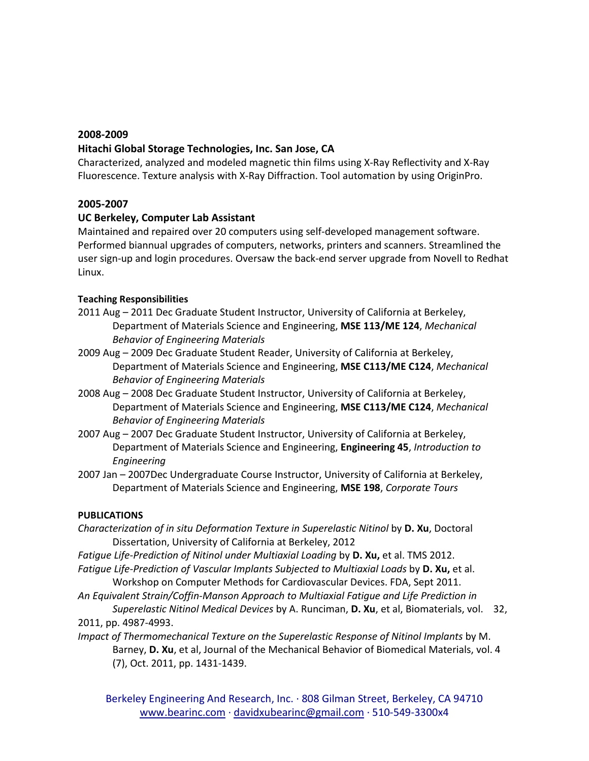#### **2008-2009**

### **Hitachi Global Storage Technologies, Inc. San Jose, CA**

Characterized, analyzed and modeled magnetic thin films using X-Ray Reflectivity and X-Ray Fluorescence. Texture analysis with X-Ray Diffraction. Tool automation by using OriginPro.

### **2005-2007**

## **UC Berkeley, Computer Lab Assistant**

Maintained and repaired over 20 computers using self-developed management software. Performed biannual upgrades of computers, networks, printers and scanners. Streamlined the user sign-up and login procedures. Oversaw the back-end server upgrade from Novell to Redhat Linux.

### **Teaching Responsibilities**

- 2011 Aug 2011 Dec Graduate Student Instructor, University of California at Berkeley, Department of Materials Science and Engineering, **MSE 113/ME 124**, *Mechanical Behavior of Engineering Materials*
- 2009 Aug 2009 Dec Graduate Student Reader, University of California at Berkeley, Department of Materials Science and Engineering, **MSE C113/ME C124**, *Mechanical Behavior of Engineering Materials*
- 2008 Aug 2008 Dec Graduate Student Instructor, University of California at Berkeley, Department of Materials Science and Engineering, **MSE C113/ME C124**, *Mechanical Behavior of Engineering Materials*
- 2007 Aug 2007 Dec Graduate Student Instructor, University of California at Berkeley, Department of Materials Science and Engineering, **Engineering 45**, *Introduction to Engineering*
- 2007 Jan 2007Dec Undergraduate Course Instructor, University of California at Berkeley, Department of Materials Science and Engineering, **MSE 198**, *Corporate Tours*

### **PUBLICATIONS**

- *Characterization of in situ Deformation Texture in Superelastic Nitinol* by **D. Xu**, Doctoral Dissertation, University of California at Berkeley, 2012
- *Fatigue Life-Prediction of Nitinol under Multiaxial Loading* by **D. Xu,** et al. TMS 2012. *Fatigue Life-Prediction of Vascular Implants Subjected to Multiaxial Loads by D. Xu, et al.* Workshop on Computer Methods for Cardiovascular Devices. FDA, Sept 2011.
- *An Equivalent Strain/Coffin-Manson Approach to Multiaxial Fatigue and Life Prediction in*
- *Superelastic Nitinol Medical Devices* by A. Runciman, **D. Xu**, et al, Biomaterials, vol. 32, 2011, pp. 4987-4993.
- *Impact of Thermomechanical Texture on the Superelastic Response of Nitinol Implants by M.* Barney, **D. Xu**, et al, Journal of the Mechanical Behavior of Biomedical Materials, vol. 4 (7), Oct. 2011, pp. 1431-1439.

Berkeley Engineering And Research, Inc. · 808 Gilman Street, Berkeley, CA 94710 [www.bearinc.com](http://www.bearin.com/) · [davidxubearinc@gmail.com](mailto:dave@bearinc.com) · 510-549-3300x4